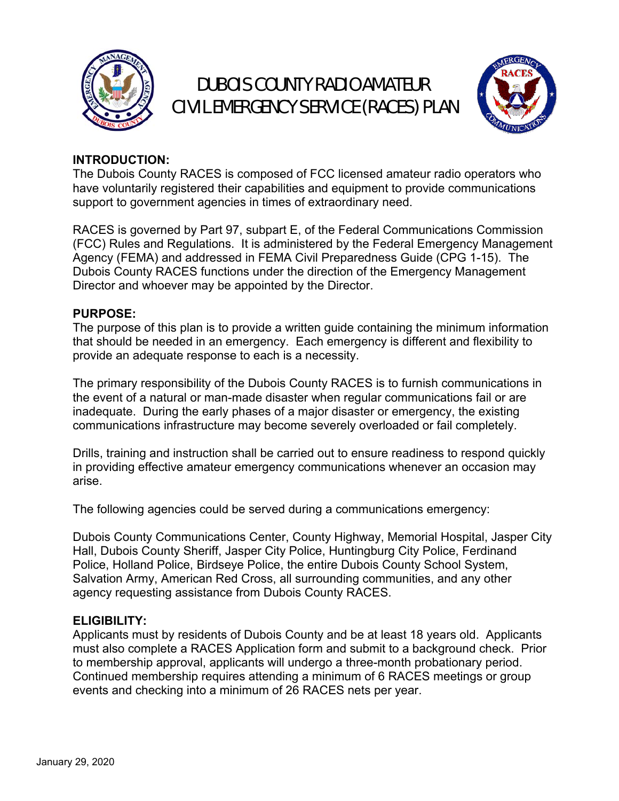

## DUBOIS COUNTY RADIO AMATEUR CIVIL EMERGENCY SERVICE (RACES) PLAN



#### **INTRODUCTION:**

The Dubois County RACES is composed of FCC licensed amateur radio operators who have voluntarily registered their capabilities and equipment to provide communications support to government agencies in times of extraordinary need.

RACES is governed by Part 97, subpart E, of the Federal Communications Commission (FCC) Rules and Regulations. It is administered by the Federal Emergency Management Agency (FEMA) and addressed in FEMA Civil Preparedness Guide (CPG 1-15). The Dubois County RACES functions under the direction of the Emergency Management Director and whoever may be appointed by the Director.

#### **PURPOSE:**

The purpose of this plan is to provide a written guide containing the minimum information that should be needed in an emergency. Each emergency is different and flexibility to provide an adequate response to each is a necessity.

The primary responsibility of the Dubois County RACES is to furnish communications in the event of a natural or man-made disaster when regular communications fail or are inadequate. During the early phases of a major disaster or emergency, the existing communications infrastructure may become severely overloaded or fail completely.

Drills, training and instruction shall be carried out to ensure readiness to respond quickly in providing effective amateur emergency communications whenever an occasion may arise.

The following agencies could be served during a communications emergency:

Dubois County Communications Center, County Highway, Memorial Hospital, Jasper City Hall, Dubois County Sheriff, Jasper City Police, Huntingburg City Police, Ferdinand Police, Holland Police, Birdseye Police, the entire Dubois County School System, Salvation Army, American Red Cross, all surrounding communities, and any other agency requesting assistance from Dubois County RACES.

#### **ELIGIBILITY:**

Applicants must by residents of Dubois County and be at least 18 years old. Applicants must also complete a RACES Application form and submit to a background check. Prior to membership approval, applicants will undergo a three-month probationary period. Continued membership requires attending a minimum of 6 RACES meetings or group events and checking into a minimum of 26 RACES nets per year.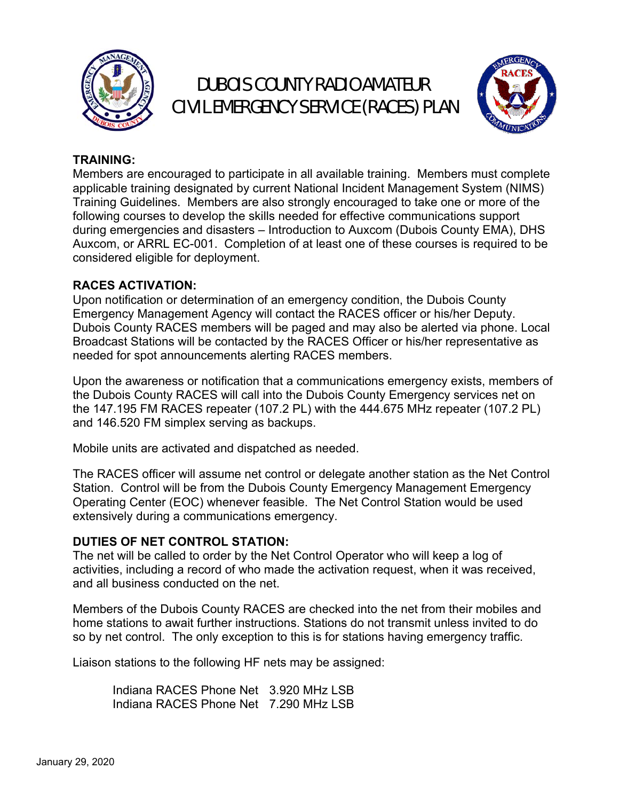

# DUBOIS COUNTY RADIO AMATEUR CIVIL EMERGENCY SERVICE (RACES) PLAN



### **TRAINING:**

Members are encouraged to participate in all available training. Members must complete applicable training designated by current National Incident Management System (NIMS) Training Guidelines. Members are also strongly encouraged to take one or more of the following courses to develop the skills needed for effective communications support during emergencies and disasters – Introduction to Auxcom (Dubois County EMA), DHS Auxcom, or ARRL EC-001. Completion of at least one of these courses is required to be considered eligible for deployment.

### **RACES ACTIVATION:**

Upon notification or determination of an emergency condition, the Dubois County Emergency Management Agency will contact the RACES officer or his/her Deputy. Dubois County RACES members will be paged and may also be alerted via phone. Local Broadcast Stations will be contacted by the RACES Officer or his/her representative as needed for spot announcements alerting RACES members.

Upon the awareness or notification that a communications emergency exists, members of the Dubois County RACES will call into the Dubois County Emergency services net on the 147.195 FM RACES repeater (107.2 PL) with the 444.675 MHz repeater (107.2 PL) and 146.520 FM simplex serving as backups.

Mobile units are activated and dispatched as needed.

The RACES officer will assume net control or delegate another station as the Net Control Station. Control will be from the Dubois County Emergency Management Emergency Operating Center (EOC) whenever feasible. The Net Control Station would be used extensively during a communications emergency.

### **DUTIES OF NET CONTROL STATION:**

The net will be called to order by the Net Control Operator who will keep a log of activities, including a record of who made the activation request, when it was received, and all business conducted on the net.

Members of the Dubois County RACES are checked into the net from their mobiles and home stations to await further instructions. Stations do not transmit unless invited to do so by net control. The only exception to this is for stations having emergency traffic.

Liaison stations to the following HF nets may be assigned:

 Indiana RACES Phone Net 3.920 MHz LSB Indiana RACES Phone Net 7.290 MHz LSB